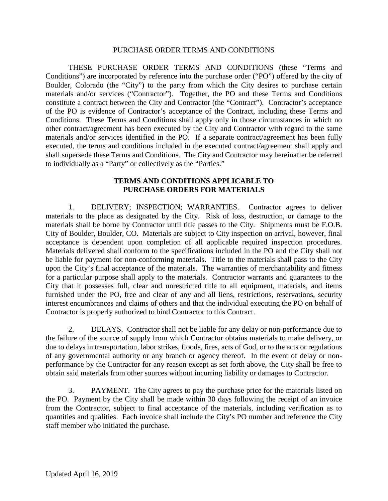#### PURCHASE ORDER TERMS AND CONDITIONS

THESE PURCHASE ORDER TERMS AND CONDITIONS (these "Terms and Conditions") are incorporated by reference into the purchase order ("PO") offered by the city of Boulder, Colorado (the "City") to the party from which the City desires to purchase certain materials and/or services ("Contractor"). Together, the PO and these Terms and Conditions constitute a contract between the City and Contractor (the "Contract"). Contractor's acceptance of the PO is evidence of Contractor's acceptance of the Contract, including these Terms and Conditions. These Terms and Conditions shall apply only in those circumstances in which no other contract/agreement has been executed by the City and Contractor with regard to the same materials and/or services identified in the PO. If a separate contract/agreement has been fully executed, the terms and conditions included in the executed contract/agreement shall apply and shall supersede these Terms and Conditions. The City and Contractor may hereinafter be referred to individually as a "Party" or collectively as the "Parties."

## **TERMS AND CONDITIONS APPLICABLE TO PURCHASE ORDERS FOR MATERIALS**

1. DELIVERY; INSPECTION; WARRANTIES. Contractor agrees to deliver materials to the place as designated by the City. Risk of loss, destruction, or damage to the materials shall be borne by Contractor until title passes to the City. Shipments must be F.O.B. City of Boulder, Boulder, CO. Materials are subject to City inspection on arrival, however, final acceptance is dependent upon completion of all applicable required inspection procedures. Materials delivered shall conform to the specifications included in the PO and the City shall not be liable for payment for non-conforming materials. Title to the materials shall pass to the City upon the City's final acceptance of the materials. The warranties of merchantability and fitness for a particular purpose shall apply to the materials. Contractor warrants and guarantees to the City that it possesses full, clear and unrestricted title to all equipment, materials, and items furnished under the PO, free and clear of any and all liens, restrictions, reservations, security interest encumbrances and claims of others and that the individual executing the PO on behalf of Contractor is properly authorized to bind Contractor to this Contract.

2. DELAYS. Contractor shall not be liable for any delay or non-performance due to the failure of the source of supply from which Contractor obtains materials to make delivery, or due to delays in transportation, labor strikes, floods, fires, acts of God, or to the acts or regulations of any governmental authority or any branch or agency thereof. In the event of delay or nonperformance by the Contractor for any reason except as set forth above, the City shall be free to obtain said materials from other sources without incurring liability or damages to Contractor.

3. PAYMENT. The City agrees to pay the purchase price for the materials listed on the PO. Payment by the City shall be made within 30 days following the receipt of an invoice from the Contractor, subject to final acceptance of the materials, including verification as to quantities and qualities. Each invoice shall include the City's PO number and reference the City staff member who initiated the purchase.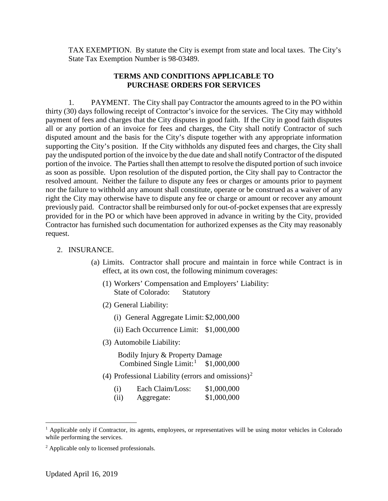TAX EXEMPTION. By statute the City is exempt from state and local taxes. The City's State Tax Exemption Number is 98-03489.

### **TERMS AND CONDITIONS APPLICABLE TO PURCHASE ORDERS FOR SERVICES**

1. PAYMENT. The City shall pay Contractor the amounts agreed to in the PO within thirty (30) days following receipt of Contractor's invoice for the services. The City may withhold payment of fees and charges that the City disputes in good faith. If the City in good faith disputes all or any portion of an invoice for fees and charges, the City shall notify Contractor of such disputed amount and the basis for the City's dispute together with any appropriate information supporting the City's position. If the City withholds any disputed fees and charges, the City shall pay the undisputed portion of the invoice by the due date and shall notify Contractor of the disputed portion of the invoice. The Parties shall then attempt to resolve the disputed portion of such invoice as soon as possible. Upon resolution of the disputed portion, the City shall pay to Contractor the resolved amount. Neither the failure to dispute any fees or charges or amounts prior to payment nor the failure to withhold any amount shall constitute, operate or be construed as a waiver of any right the City may otherwise have to dispute any fee or charge or amount or recover any amount previously paid. Contractor shall be reimbursed only for out-of-pocket expenses that are expressly provided for in the PO or which have been approved in advance in writing by the City, provided Contractor has furnished such documentation for authorized expenses as the City may reasonably request.

#### 2. INSURANCE.

- (a) Limits. Contractor shall procure and maintain in force while Contract is in effect, at its own cost, the following minimum coverages:
	- (1) Workers' Compensation and Employers' Liability: State of Colorado: Statutory
	- (2) General Liability:
		- (i) General Aggregate Limit: \$2,000,000
		- (ii) Each Occurrence Limit: \$1,000,000
	- (3) Automobile Liability:

Bodily Injury & Property Damage Combined Single Limit:<sup>[1](#page-1-0)</sup>  $$1,000,000$ 

(4) Professional Liability (errors and omissions)<sup>[2](#page-1-1)</sup>

| (i) | Each Claim/Loss: | \$1,000,000 |
|-----|------------------|-------------|
|     |                  |             |

<sup>(</sup>ii) Aggregate: \$1,000,000

<span id="page-1-0"></span><sup>&</sup>lt;sup>1</sup> Applicable only if Contractor, its agents, employees, or representatives will be using motor vehicles in Colorado while performing the services.

<span id="page-1-1"></span><sup>2</sup> Applicable only to licensed professionals.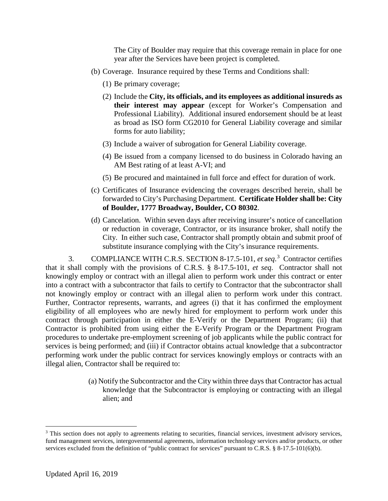The City of Boulder may require that this coverage remain in place for one year after the Services have been project is completed.

- (b) Coverage. Insurance required by these Terms and Conditions shall:
	- (1) Be primary coverage;
	- (2) Include the **City, its officials, and its employees as additional insureds as their interest may appear** (except for Worker's Compensation and Professional Liability). Additional insured endorsement should be at least as broad as ISO form CG2010 for General Liability coverage and similar forms for auto liability;
	- (3) Include a waiver of subrogation for General Liability coverage.
	- (4) Be issued from a company licensed to do business in Colorado having an AM Best rating of at least A-VI; and
	- (5) Be procured and maintained in full force and effect for duration of work.
- (c) Certificates of Insurance evidencing the coverages described herein, shall be forwarded to City's Purchasing Department. **Certificate Holder shall be: City of Boulder, 1777 Broadway, Boulder, CO 80302**.
- (d) Cancelation. Within seven days after receiving insurer's notice of cancellation or reduction in coverage, Contractor, or its insurance broker, shall notify the City. In either such case, Contractor shall promptly obtain and submit proof of substitute insurance complying with the City's insurance requirements.

3. COMPLIANCE WITH C.R.S. SECTION 8-17.5-101, *et seq*. [3](#page-2-0) Contractor certifies that it shall comply with the provisions of C.R.S. § 8-17.5-101, *et seq*. Contractor shall not knowingly employ or contract with an illegal alien to perform work under this contract or enter into a contract with a subcontractor that fails to certify to Contractor that the subcontractor shall not knowingly employ or contract with an illegal alien to perform work under this contract. Further, Contractor represents, warrants, and agrees (i) that it has confirmed the employment eligibility of all employees who are newly hired for employment to perform work under this contract through participation in either the E-Verify or the Department Program; (ii) that Contractor is prohibited from using either the E-Verify Program or the Department Program procedures to undertake pre-employment screening of job applicants while the public contract for services is being performed; and (iii) if Contractor obtains actual knowledge that a subcontractor performing work under the public contract for services knowingly employs or contracts with an illegal alien, Contractor shall be required to:

> (a) Notify the Subcontractor and the City within three days that Contractor has actual knowledge that the Subcontractor is employing or contracting with an illegal alien; and

<span id="page-2-0"></span><sup>&</sup>lt;sup>3</sup> This section does not apply to agreements relating to securities, financial services, investment advisory services, fund management services, intergovernmental agreements, information technology services and/or products, or other services excluded from the definition of "public contract for services" pursuant to C.R.S. § 8-17.5-101(6)(b).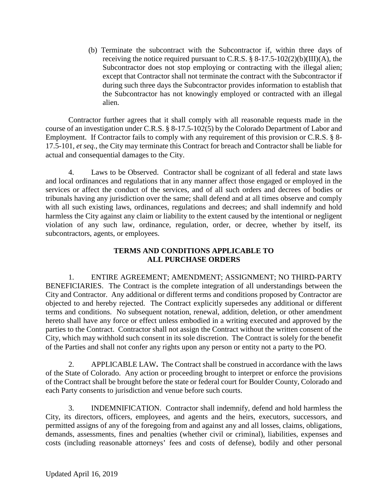(b) Terminate the subcontract with the Subcontractor if, within three days of receiving the notice required pursuant to C.R.S.  $\S 8-17.5-102(2)(b)(III)(A)$ , the Subcontractor does not stop employing or contracting with the illegal alien; except that Contractor shall not terminate the contract with the Subcontractor if during such three days the Subcontractor provides information to establish that the Subcontractor has not knowingly employed or contracted with an illegal alien.

Contractor further agrees that it shall comply with all reasonable requests made in the course of an investigation under C.R.S. § 8-17.5-102(5) by the Colorado Department of Labor and Employment. If Contractor fails to comply with any requirement of this provision or C.R.S. § 8- 17.5-101, *et seq.*, the City may terminate this Contract for breach and Contractor shall be liable for actual and consequential damages to the City.

4. Laws to be Observed. Contractor shall be cognizant of all federal and state laws and local ordinances and regulations that in any manner affect those engaged or employed in the services or affect the conduct of the services, and of all such orders and decrees of bodies or tribunals having any jurisdiction over the same; shall defend and at all times observe and comply with all such existing laws, ordinances, regulations and decrees; and shall indemnify and hold harmless the City against any claim or liability to the extent caused by the intentional or negligent violation of any such law, ordinance, regulation, order, or decree, whether by itself, its subcontractors, agents, or employees.

# **TERMS AND CONDITIONS APPLICABLE TO ALL PURCHASE ORDERS**

1. ENTIRE AGREEMENT; AMENDMENT; ASSIGNMENT; NO THIRD-PARTY BENEFICIARIES. The Contract is the complete integration of all understandings between the City and Contractor. Any additional or different terms and conditions proposed by Contractor are objected to and hereby rejected. The Contract explicitly supersedes any additional or different terms and conditions. No subsequent notation, renewal, addition, deletion, or other amendment hereto shall have any force or effect unless embodied in a writing executed and approved by the parties to the Contract. Contractor shall not assign the Contract without the written consent of the City, which may withhold such consent in its sole discretion. The Contract is solely for the benefit of the Parties and shall not confer any rights upon any person or entity not a party to the PO.

2. APPLICABLE LAW**.** The Contract shall be construed in accordance with the laws of the State of Colorado. Any action or proceeding brought to interpret or enforce the provisions of the Contract shall be brought before the state or federal court for Boulder County, Colorado and each Party consents to jurisdiction and venue before such courts.

3. INDEMNIFICATION. Contractor shall indemnify, defend and hold harmless the City, its directors, officers, employees, and agents and the heirs, executors, successors, and permitted assigns of any of the foregoing from and against any and all losses, claims, obligations, demands, assessments, fines and penalties (whether civil or criminal), liabilities, expenses and costs (including reasonable attorneys' fees and costs of defense), bodily and other personal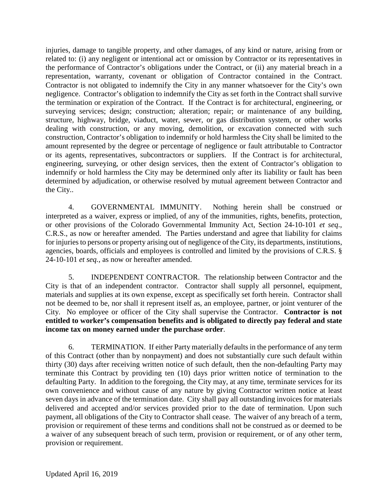injuries, damage to tangible property, and other damages, of any kind or nature, arising from or related to: (i) any negligent or intentional act or omission by Contractor or its representatives in the performance of Contractor's obligations under the Contract, or (ii) any material breach in a representation, warranty, covenant or obligation of Contractor contained in the Contract. Contractor is not obligated to indemnify the City in any manner whatsoever for the City's own negligence. Contractor's obligation to indemnify the City as set forth in the Contract shall survive the termination or expiration of the Contract. If the Contract is for architectural, engineering, or surveying services; design; construction; alteration; repair; or maintenance of any building, structure, highway, bridge, viaduct, water, sewer, or gas distribution system, or other works dealing with construction, or any moving, demolition, or excavation connected with such construction, Contractor's obligation to indemnify or hold harmless the City shall be limited to the amount represented by the degree or percentage of negligence or fault attributable to Contractor or its agents, representatives, subcontractors or suppliers. If the Contract is for architectural, engineering, surveying, or other design services, then the extent of Contractor's obligation to indemnify or hold harmless the City may be determined only after its liability or fault has been determined by adjudication, or otherwise resolved by mutual agreement between Contractor and the City..

4. GOVERNMENTAL IMMUNITY. Nothing herein shall be construed or interpreted as a waiver, express or implied, of any of the immunities, rights, benefits, protection, or other provisions of the Colorado Governmental Immunity Act, Section 24-10-101 *et seq*., C.R.S., as now or hereafter amended. The Parties understand and agree that liability for claims for injuries to persons or property arising out of negligence of the City, its departments, institutions, agencies, boards, officials and employees is controlled and limited by the provisions of C.R.S. § 24-10-101 *et seq.*, as now or hereafter amended.

5. INDEPENDENT CONTRACTOR. The relationship between Contractor and the City is that of an independent contractor. Contractor shall supply all personnel, equipment, materials and supplies at its own expense, except as specifically set forth herein. Contractor shall not be deemed to be, nor shall it represent itself as, an employee, partner, or joint venturer of the City. No employee or officer of the City shall supervise the Contractor. **Contractor is not entitled to worker's compensation benefits and is obligated to directly pay federal and state income tax on money earned under the purchase order**.

6. TERMINATION. If either Party materially defaults in the performance of any term of this Contract (other than by nonpayment) and does not substantially cure such default within thirty (30) days after receiving written notice of such default, then the non-defaulting Party may terminate this Contract by providing ten (10) days prior written notice of termination to the defaulting Party. In addition to the foregoing, the City may, at any time, terminate services for its own convenience and without cause of any nature by giving Contractor written notice at least seven days in advance of the termination date. City shall pay all outstanding invoices for materials delivered and accepted and/or services provided prior to the date of termination. Upon such payment, all obligations of the City to Contractor shall cease. The waiver of any breach of a term, provision or requirement of these terms and conditions shall not be construed as or deemed to be a waiver of any subsequent breach of such term, provision or requirement, or of any other term, provision or requirement.